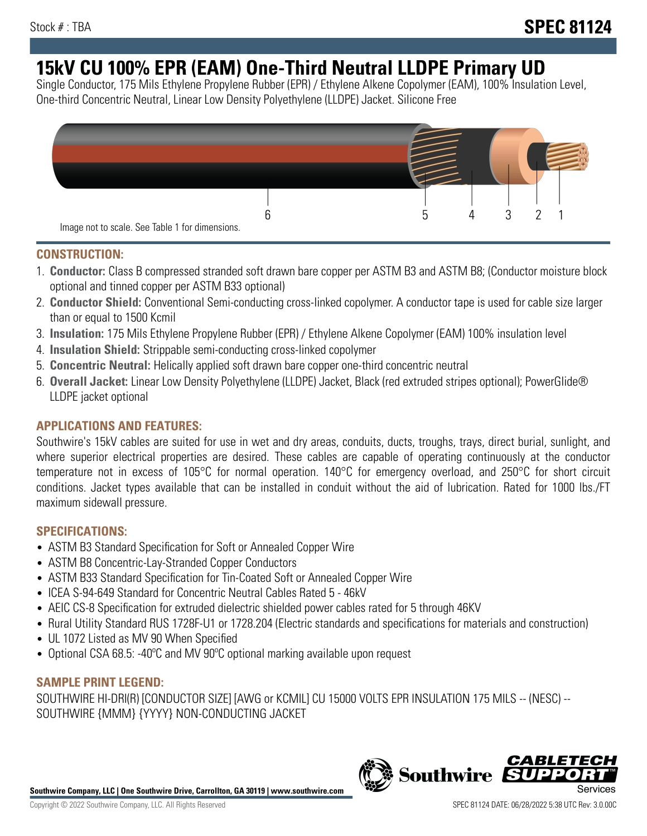# **15kV CU 100% EPR (EAM) One-Third Neutral LLDPE Primary UD**

Single Conductor, 175 Mils Ethylene Propylene Rubber (EPR) / Ethylene Alkene Copolymer (EAM), 100% Insulation Level, One-third Concentric Neutral, Linear Low Density Polyethylene (LLDPE) Jacket. Silicone Free



## **CONSTRUCTION:**

- 1. **Conductor:** Class B compressed stranded soft drawn bare copper per ASTM B3 and ASTM B8; (Conductor moisture block optional and tinned copper per ASTM B33 optional)
- 2. **Conductor Shield:** Conventional Semi-conducting cross-linked copolymer. A conductor tape is used for cable size larger than or equal to 1500 Kcmil
- 3. **Insulation:** 175 Mils Ethylene Propylene Rubber (EPR) / Ethylene Alkene Copolymer (EAM) 100% insulation level
- 4. **Insulation Shield:** Strippable semi-conducting cross-linked copolymer
- 5. **Concentric Neutral:** Helically applied soft drawn bare copper one-third concentric neutral
- 6. **Overall Jacket:** Linear Low Density Polyethylene (LLDPE) Jacket, Black (red extruded stripes optional); PowerGlide® LLDPE jacket optional

# **APPLICATIONS AND FEATURES:**

Southwire's 15kV cables are suited for use in wet and dry areas, conduits, ducts, troughs, trays, direct burial, sunlight, and where superior electrical properties are desired. These cables are capable of operating continuously at the conductor temperature not in excess of 105°C for normal operation. 140°C for emergency overload, and 250°C for short circuit conditions. Jacket types available that can be installed in conduit without the aid of lubrication. Rated for 1000 lbs./FT maximum sidewall pressure.

## **SPECIFICATIONS:**

- ASTM B3 Standard Specification for Soft or Annealed Copper Wire
- ASTM B8 Concentric-Lay-Stranded Copper Conductors
- ASTM B33 Standard Specification for Tin-Coated Soft or Annealed Copper Wire
- ICEA S-94-649 Standard for Concentric Neutral Cables Rated 5 46kV
- AEIC CS-8 Specification for extruded dielectric shielded power cables rated for 5 through 46KV
- Rural Utility Standard RUS 1728F-U1 or 1728.204 (Electric standards and specifications for materials and construction)
- UL 1072 Listed as MV 90 When Specified
- Optional CSA 68.5: -40°C and MV 90°C optional marking available upon request

# **SAMPLE PRINT LEGEND:**

SOUTHWIRE HI-DRI(R) [CONDUCTOR SIZE] [AWG or KCMIL] CU 15000 VOLTS EPR INSULATION 175 MILS -- (NESC) -- SOUTHWIRE {MMM} {YYYY} NON-CONDUCTING JACKET

**Southwire Company, LLC | One Southwire Drive, Carrollton, GA 30119 | www.southwire.com**